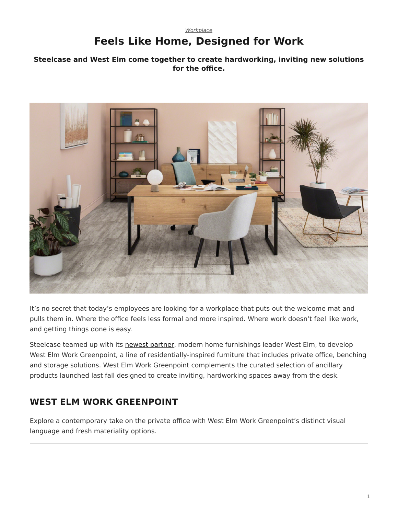## *[Workplace](https://www.steelcase.com/research/topics/workplace/)* **Feels Like Home, Designed for Work**

## <span id="page-0-0"></span>**Steelcase and West Elm come together to create hardworking, inviting new solutions for the office.**



It's no secret that today's employees are looking for a workplace that puts out the welcome mat and pulls them in. Where the office feels less formal and more inspired. Where work doesn't feel like work, and getting things done is easy.

Steelcase teamed up with its [newest partner,](https://www.steelcase.com/research/articles/topics/brand/introducing-west-elm-work-collection/) modern home furnishings leader West Elm, to develop West Elm Work Greenpoint, a line of residentially-inspired furniture that includes private office, [benching](https://www.steelcase.com/products/benching/) and storage solutions. West Elm Work Greenpoint complements the curated selection of ancillary products launched last fall designed to create inviting, hardworking spaces away from the desk.

## **WEST ELM WORK GREENPOINT**

Explore a contemporary take on the private office with West Elm Work Greenpoint's distinct visual language and fresh materiality options.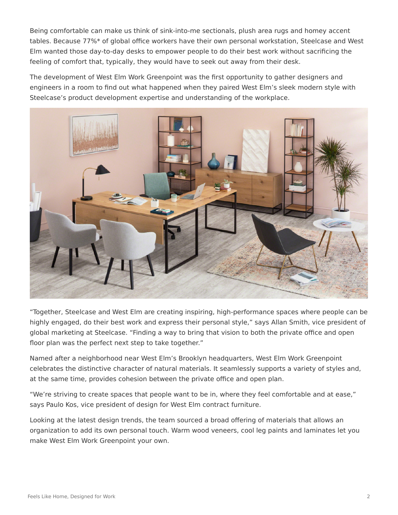Being comfortable can make us think of sink-into-me sectionals, plush area rugs and homey accent tables. Because 77%\* of global office workers have their own personal workstation, Steelcase and West Elm wanted those day-to-day desks to empower people to do their best work without sacrificing the feeling of comfort that, typically, they would have to seek out away from their desk.

The development of West Elm Work Greenpoint was the first opportunity to gather designers and engineers in a room to find out what happened when they paired West Elm's sleek modern style with Steelcase's product development expertise and understanding of the workplace.



"Together, Steelcase and West Elm are creating inspiring, high-performance spaces where people can be highly engaged, do their best work and express their personal style," says Allan Smith, vice president of global marketing at Steelcase. "Finding a way to bring that vision to both the private office and open floor plan was the perfect next step to take together."

Named after a neighborhood near West Elm's Brooklyn headquarters, West Elm Work Greenpoint celebrates the distinctive character of natural materials. It seamlessly supports a variety of styles and, at the same time, provides cohesion between the private office and open plan.

"We're striving to create spaces that people want to be in, where they feel comfortable and at ease," says Paulo Kos, vice president of design for West Elm contract furniture.

Looking at the latest design trends, the team sourced a broad offering of materials that allows an organization to add its own personal touch. Warm wood veneers, cool leg paints and laminates let you make West Elm Work Greenpoint your own.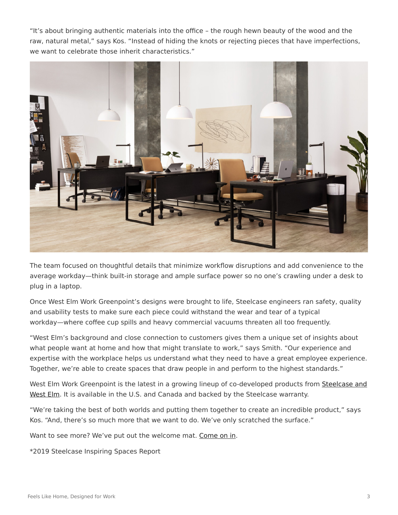"It's about bringing authentic materials into the office – the rough hewn beauty of the wood and the raw, natural metal," says Kos. "Instead of hiding the knots or rejecting pieces that have imperfections, we want to celebrate those inherit characteristics."



The team focused on thoughtful details that minimize workflow disruptions and add convenience to the average workday—think built-in storage and ample surface power so no one's crawling under a desk to plug in a laptop.

Once West Elm Work Greenpoint's designs were brought to life, Steelcase engineers ran safety, quality and usability tests to make sure each piece could withstand the wear and tear of a typical workday—where coffee cup spills and heavy commercial vacuums threaten all too frequently.

"West Elm's background and close connection to customers gives them a unique set of insights about what people want at home and how that might translate to work," says Smith. "Our experience and expertise with the workplace helps us understand what they need to have a great employee experience. Together, we're able to create spaces that draw people in and perform to the highest standards."

West Elm Work Greenpoint is the latest in a growing lineup of co-developed products from [Steelcase and](https://www.steelcase.com/brands/partners/west-elm/) [West Elm.](https://www.steelcase.com/brands/partners/west-elm/) It is available in the U.S. and Canada and backed by the Steelcase warranty.

"We're taking the best of both worlds and putting them together to create an incredible product," says Kos. "And, there's so much more that we want to do. We've only scratched the surface."

Want to see more? We've put out the welcome mat. [Come on in.](https://www.steelcase.com/products/desks/west-elm-work-greenpoint-private-office/)

\*2019 Steelcase Inspiring Spaces Report